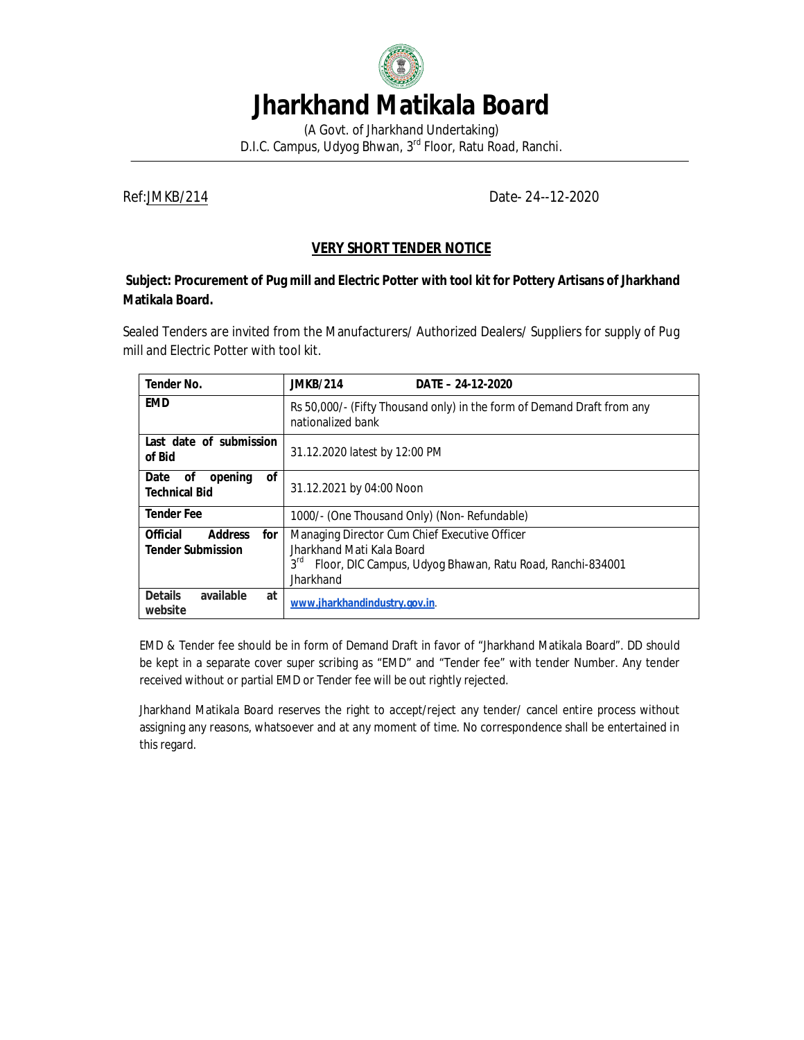

# **Jharkhand Matikala Board**

(A Govt. of Jharkhand Undertaking) D.I.C. Campus, Udyog Bhwan, 3rd Floor, Ratu Road, Ranchi.

Ref:JMKB/214 Date- 24--12-2020

# **VERY SHORT TENDER NOTICE**

#### **Subject: Procurement of Pug mill and Electric Potter with tool kit for Pottery Artisans of Jharkhand Matikala Board.**

Sealed Tenders are invited from the Manufacturers/ Authorized Dealers/ Suppliers for supply of Pug mill and Electric Potter with tool kit.

| <b>Tender No.</b>                                                    | <b>JMKB/214</b><br>DATE - 24-12-2020                                                                                                                                    |
|----------------------------------------------------------------------|-------------------------------------------------------------------------------------------------------------------------------------------------------------------------|
| <b>EMD</b>                                                           | Rs 50,000/- (Fifty Thousand only) in the form of Demand Draft from any<br>nationalized bank                                                                             |
| Last date of submission<br>of Bid                                    | 31.12.2020 latest by 12:00 PM                                                                                                                                           |
| <b>of</b><br>Date<br>opening<br>οf<br><b>Technical Bid</b>           | 31.12.2021 by 04:00 Noon                                                                                                                                                |
| <b>Tender Fee</b>                                                    | 1000/- (One Thousand Only) (Non- Refundable)                                                                                                                            |
| <b>Official</b><br><b>Address</b><br>for<br><b>Tender Submission</b> | Managing Director Cum Chief Executive Officer<br>Jharkhand Mati Kala Board<br>3 <sup>rd</sup><br>Floor, DIC Campus, Udyog Bhawan, Ratu Road, Ranchi-834001<br>Jharkhand |
| <b>Details</b><br>available<br>at<br>website                         | www.jharkhandindustry.gov.in.                                                                                                                                           |

EMD & Tender fee should be in form of Demand Draft in favor of "Jharkhand Matikala Board". DD should be kept in a separate cover super scribing as "EMD" and "Tender fee" with tender Number. Any tender received without or partial EMD or Tender fee will be out rightly rejected.

Jharkhand Matikala Board reserves the right to accept/reject any tender/ cancel entire process without assigning any reasons, whatsoever and at any moment of time. No correspondence shall be entertained in this regard.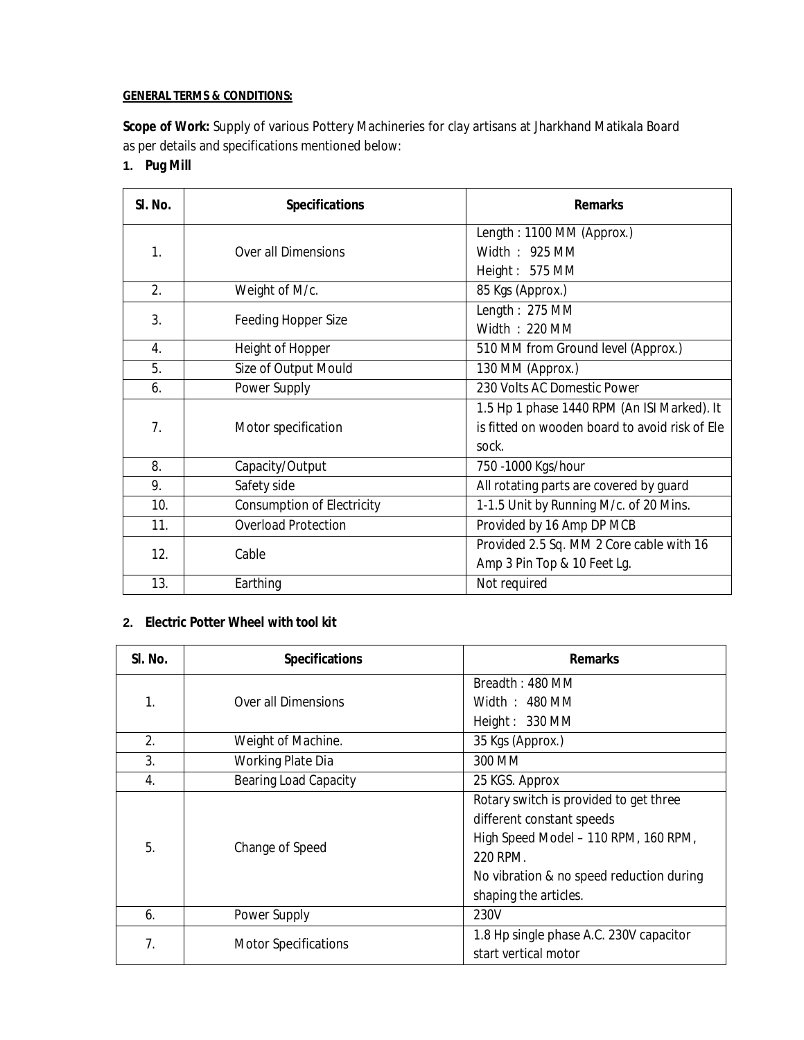#### **GENERAL TERMS & CONDITIONS:**

**Scope of Work:** Supply of various Pottery Machineries for clay artisans at Jharkhand Matikala Board as per details and specifications mentioned below:

**1. Pug Mill**

| SI. No.        | <b>Specifications</b>             | <b>Remarks</b>                                 |
|----------------|-----------------------------------|------------------------------------------------|
|                |                                   | Length: 1100 MM (Approx.)                      |
| 1.             | Over all Dimensions               | Width: 925 MM                                  |
|                |                                   | Height: 575 MM                                 |
| 2.             | Weight of M/c.                    | 85 Kgs (Approx.)                               |
| 3.             |                                   | Length: 275 MM                                 |
|                | <b>Feeding Hopper Size</b>        | Width: 220 MM                                  |
| 4.             | Height of Hopper                  | 510 MM from Ground level (Approx.)             |
| 5.             | Size of Output Mould              | 130 MM (Approx.)                               |
| 6.             | Power Supply                      | 230 Volts AC Domestic Power                    |
|                | Motor specification               | 1.5 Hp 1 phase 1440 RPM (An ISI Marked). It    |
| 7 <sub>1</sub> |                                   | is fitted on wooden board to avoid risk of Ele |
|                |                                   | sock.                                          |
| 8.             | Capacity/Output                   | 750 - 1000 Kgs/hour                            |
| 9.             | Safety side                       | All rotating parts are covered by guard        |
| 10.            | <b>Consumption of Electricity</b> | 1-1.5 Unit by Running M/c. of 20 Mins.         |
| 11.            | <b>Overload Protection</b>        | Provided by 16 Amp DP MCB                      |
| 12.            |                                   | Provided 2.5 Sq. MM 2 Core cable with 16       |
|                | Cable                             | Amp 3 Pin Top & 10 Feet Lg.                    |
| 13.            | Earthing                          | Not required                                   |

# **2. Electric Potter Wheel with tool kit**

| SI. No.          | <b>Specifications</b>        | <b>Remarks</b>                                                                                              |
|------------------|------------------------------|-------------------------------------------------------------------------------------------------------------|
|                  |                              | Breadth: 480 MM                                                                                             |
| 1.               | Over all Dimensions          | Width $: 480$ MM                                                                                            |
|                  |                              | Height: 330 MM                                                                                              |
| 2.               | Weight of Machine.           | 35 Kgs (Approx.)                                                                                            |
| 3.               | Working Plate Dia            | 300 MM                                                                                                      |
| $\overline{4}$ . | <b>Bearing Load Capacity</b> | 25 KGS. Approx                                                                                              |
|                  |                              | Rotary switch is provided to get three<br>different constant speeds<br>High Speed Model - 110 RPM, 160 RPM, |
| 5.               | Change of Speed              | 220 RPM.                                                                                                    |
|                  |                              | No vibration & no speed reduction during                                                                    |
|                  |                              | shaping the articles.                                                                                       |
| 6.               | Power Supply                 | 230V                                                                                                        |
| 7.               | <b>Motor Specifications</b>  | 1.8 Hp single phase A.C. 230V capacitor                                                                     |
|                  |                              | start vertical motor                                                                                        |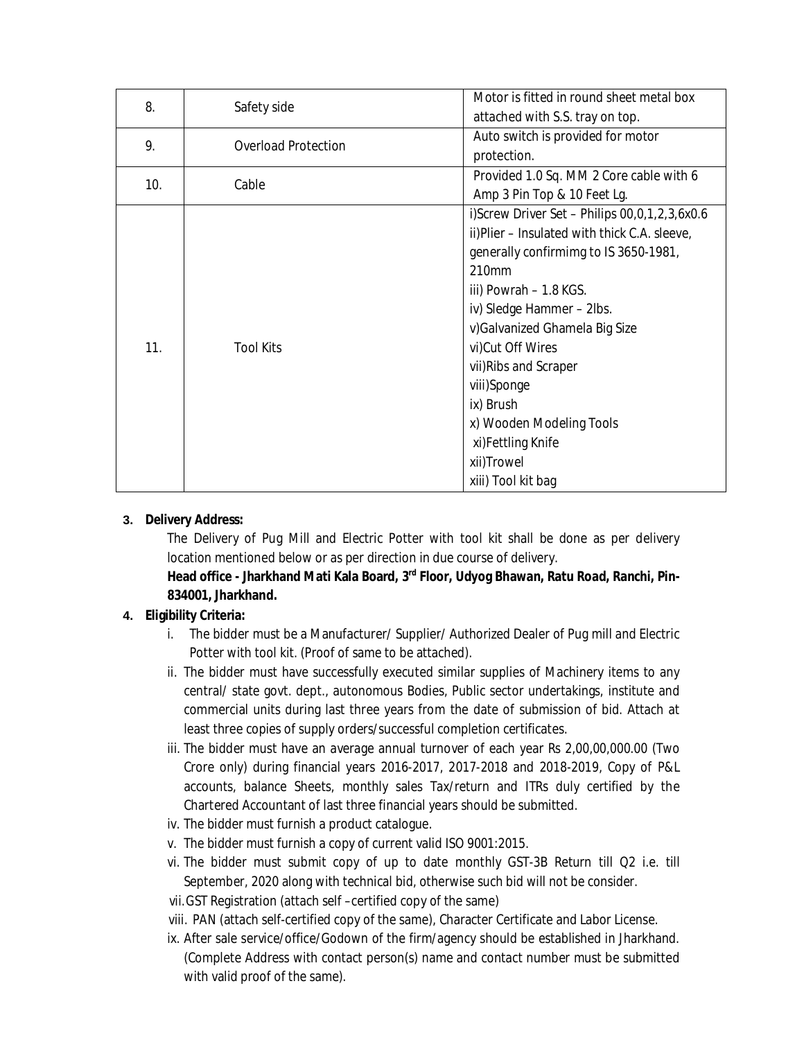| 8.  | Safety side                | Motor is fitted in round sheet metal box      |
|-----|----------------------------|-----------------------------------------------|
|     |                            | attached with S.S. tray on top.               |
| 9.  | <b>Overload Protection</b> | Auto switch is provided for motor             |
|     |                            | protection.                                   |
| 10. | Cable                      | Provided 1.0 Sq. MM 2 Core cable with 6       |
|     |                            | Amp 3 Pin Top & 10 Feet Lg.                   |
|     | <b>Tool Kits</b>           | i)Screw Driver Set - Philips 00,0,1,2,3,6x0.6 |
|     |                            | ii)Plier - Insulated with thick C.A. sleeve,  |
|     |                            | generally confirmimg to IS 3650-1981,         |
|     |                            | 210mm                                         |
|     |                            | iii) Powrah - 1.8 KGS.                        |
|     |                            | iv) Sledge Hammer - 2lbs.                     |
|     |                            | v) Galvanized Ghamela Big Size                |
| 11. |                            | vi)Cut Off Wires                              |
|     |                            | vii) Ribs and Scraper                         |
|     |                            | viii)Sponge                                   |
|     |                            | ix) Brush                                     |
|     |                            | x) Wooden Modeling Tools                      |
|     |                            | xi)Fettling Knife                             |
|     |                            | xii)Trowel                                    |
|     |                            | xiii) Tool kit bag                            |

#### **3. Delivery Address:**

The Delivery of Pug Mill and Electric Potter with tool kit shall be done as per delivery location mentioned below or as per direction in due course of delivery.

# **Head office - Jharkhand Mati Kala Board, 3rd Floor, Udyog Bhawan, Ratu Road, Ranchi, Pin-834001, Jharkhand.**

### **4. Eligibility Criteria:**

- i. The bidder must be a Manufacturer/ Supplier/ Authorized Dealer of Pug mill and Electric Potter with tool kit. (Proof of same to be attached).
- ii. The bidder must have successfully executed similar supplies of Machinery items to any central/ state govt. dept., autonomous Bodies, Public sector undertakings, institute and commercial units during last three years from the date of submission of bid. Attach at least three copies of supply orders/successful completion certificates.
- iii. The bidder must have an average annual turnover of each year Rs 2,00,00,000.00 (Two Crore only) during financial years 2016-2017, 2017-2018 and 2018-2019, Copy of P&L accounts, balance Sheets, monthly sales Tax/return and ITRs duly certified by the Chartered Accountant of last three financial years should be submitted.
- iv. The bidder must furnish a product catalogue.
- v. The bidder must furnish a copy of current valid ISO 9001:2015.
- vi. The bidder must submit copy of up to date monthly GST-3B Return till Q2 i.e. till September, 2020 along with technical bid, otherwise such bid will not be consider.
- vii.GST Registration (attach self –certified copy of the same)
- viii. PAN (attach self-certified copy of the same), Character Certificate and Labor License.
- ix. After sale service/office/Godown of the firm/agency should be established in Jharkhand. (Complete Address with contact person(s) name and contact number must be submitted with valid proof of the same).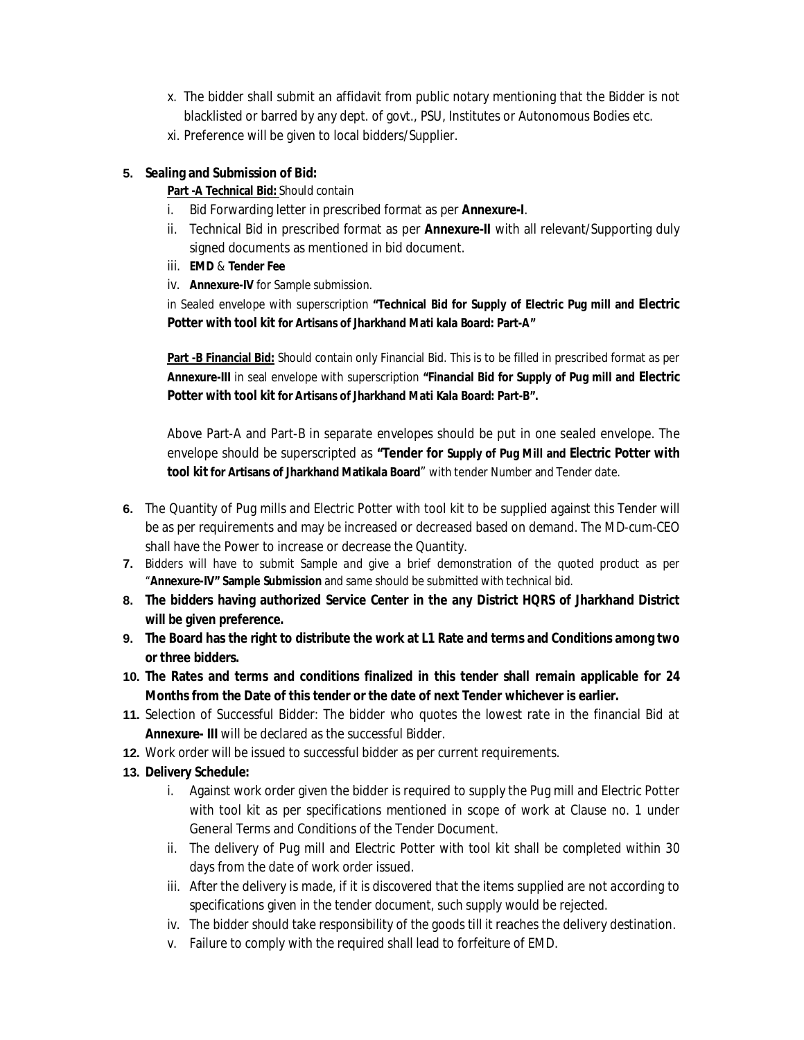- x. The bidder shall submit an affidavit from public notary mentioning that the Bidder is not blacklisted or barred by any dept. of govt., PSU, Institutes or Autonomous Bodies etc.
- xi. Preference will be given to local bidders/Supplier.

# **5. Sealing and Submission of Bid:**

# **Part -A Technical Bid:** Should contain

- i. Bid Forwarding letter in prescribed format as per **Annexure-I**.
- ii. Technical Bid in prescribed format as per **Annexure-II** with all relevant/Supporting duly signed documents as mentioned in bid document.
- iii. **EMD** & **Tender Fee**
- iv. **Annexure-IV** for Sample submission.

in Sealed envelope with superscription **"Technical Bid for Supply of Electric Pug mill and Electric Potter with tool kit for Artisans of Jharkhand Mati kala Board: Part-A"**

**Part -B Financial Bid:** Should contain only Financial Bid. This is to be filled in prescribed format as per **Annexure-III** in seal envelope with superscription **"Financial Bid for Supply of Pug mill and Electric Potter with tool kit for Artisans of Jharkhand Mati Kala Board: Part-B".**

Above Part-A and Part-B in separate envelopes should be put in one sealed envelope. The envelope should be superscripted as **"Tender for Supply of Pug Mill and Electric Potter with tool kit for Artisans of Jharkhand Matikala Board**" with tender Number and Tender date.

- **6.** The Quantity of Pug mills and Electric Potter with tool kit to be supplied against this Tender will be as per requirements and may be increased or decreased based on demand. The MD-cum-CEO shall have the Power to increase or decrease the Quantity.
- **7.** Bidders will have to submit Sample and give a brief demonstration of the quoted product as per "**Annexure-IV" Sample Submission** and same should be submitted with technical bid.
- **8. The bidders having authorized Service Center in the any District HQRS of Jharkhand District will be given preference.**
- **9. The Board has the right to distribute the work at L1 Rate and terms and Conditions among two or three bidders.**
- **10. The Rates and terms and conditions finalized in this tender shall remain applicable for 24 Months from the Date of this tender or the date of next Tender whichever is earlier.**
- **11.** Selection of Successful Bidder: The bidder who quotes the lowest rate in the financial Bid at **Annexure- III** will be declared as the successful Bidder.
- **12.** Work order will be issued to successful bidder as per current requirements.
- **13. Delivery Schedule:**
	- i. Against work order given the bidder is required to supply the Pug mill and Electric Potter with tool kit as per specifications mentioned in scope of work at Clause no. 1 under General Terms and Conditions of the Tender Document.
	- ii. The delivery of Pug mill and Electric Potter with tool kit shall be completed within 30 days from the date of work order issued.
	- iii. After the delivery is made, if it is discovered that the items supplied are not according to specifications given in the tender document, such supply would be rejected.
	- iv. The bidder should take responsibility of the goods till it reaches the delivery destination.
	- v. Failure to comply with the required shall lead to forfeiture of EMD.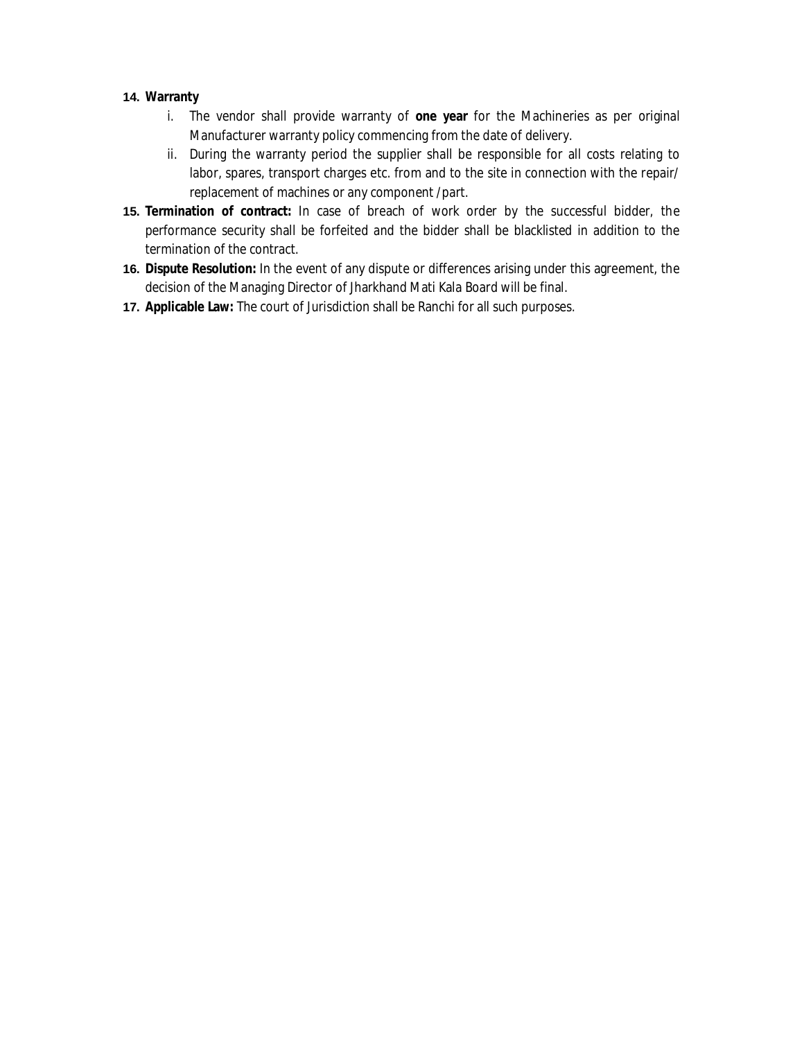#### **14. Warranty**

- i. The vendor shall provide warranty of **one year** for the Machineries as per original Manufacturer warranty policy commencing from the date of delivery.
- ii. During the warranty period the supplier shall be responsible for all costs relating to labor, spares, transport charges etc. from and to the site in connection with the repair/ replacement of machines or any component /part.
- **15. Termination of contract:** In case of breach of work order by the successful bidder, the performance security shall be forfeited and the bidder shall be blacklisted in addition to the termination of the contract.
- **16. Dispute Resolution:** In the event of any dispute or differences arising under this agreement, the decision of the Managing Director of Jharkhand Mati Kala Board will be final.
- **17. Applicable Law:** The court of Jurisdiction shall be Ranchi for all such purposes.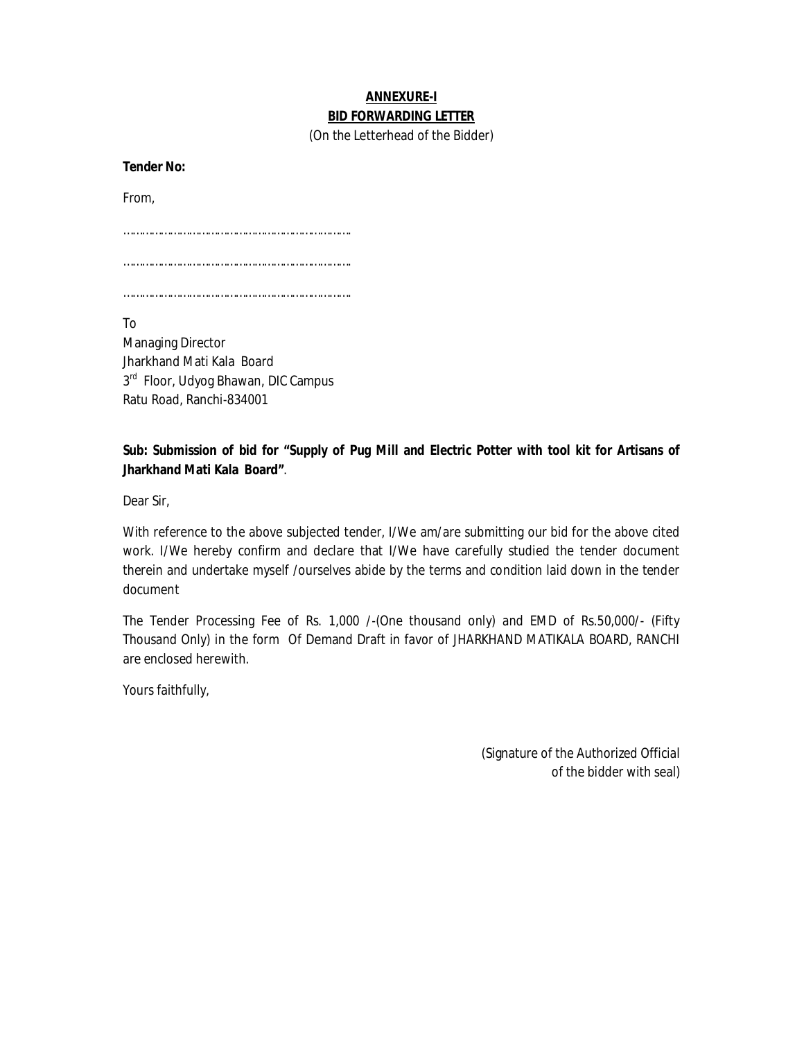# **ANNEXURE-I BID FORWARDING LETTER**

(On the Letterhead of the Bidder)

**Tender No:** 

From,

……………………………………………………………….

……………………………………………………………….

……………………………………………………………….

To

Managing Director Jharkhand Mati Kala Board 3<sup>rd</sup> Floor, Udyog Bhawan, DIC Campus Ratu Road, Ranchi-834001

# **Sub: Submission of bid for "Supply of Pug Mill and Electric Potter with tool kit for Artisans of Jharkhand Mati Kala Board"**.

Dear Sir,

With reference to the above subjected tender, I/We am/are submitting our bid for the above cited work. I/We hereby confirm and declare that I/We have carefully studied the tender document therein and undertake myself /ourselves abide by the terms and condition laid down in the tender document

The Tender Processing Fee of Rs. 1,000 /-(One thousand only) and EMD of Rs.50,000/- (Fifty Thousand Only) in the form Of Demand Draft in favor of JHARKHAND MATIKALA BOARD, RANCHI are enclosed herewith.

Yours faithfully,

(Signature of the Authorized Official of the bidder with seal)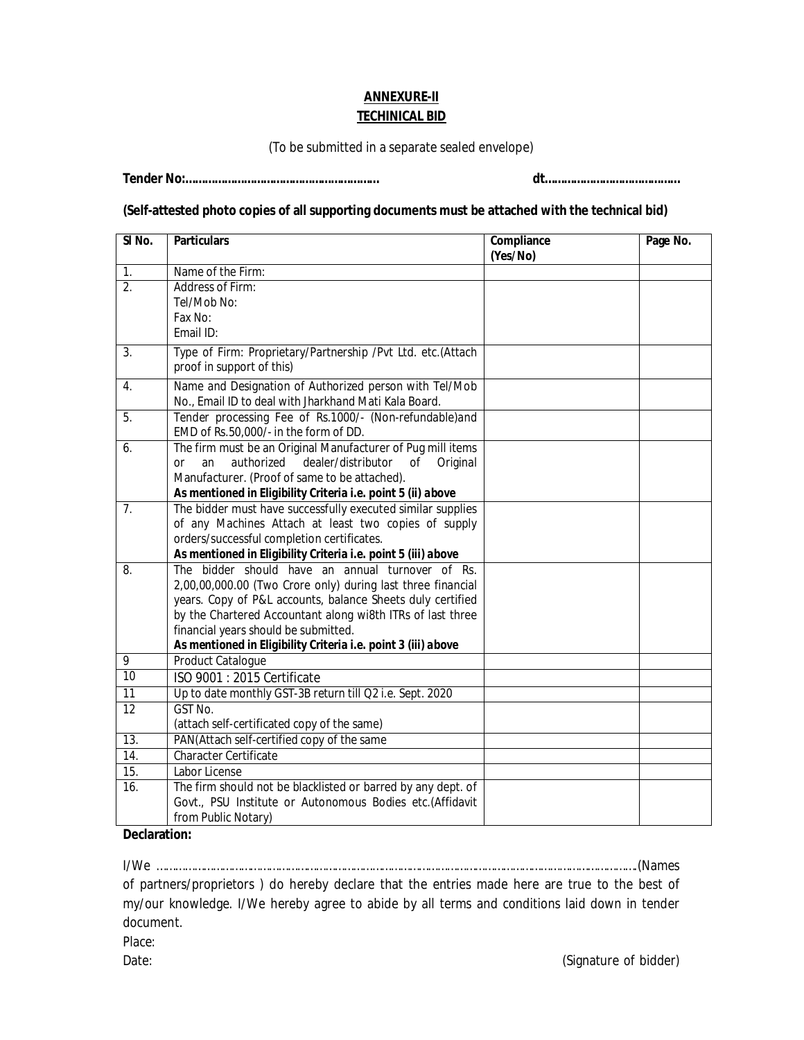# **ANNEXURE-II TECHINICAL BID**

(To be submitted in a separate sealed envelope)

**Tender No:…………………………………………………… dt……………………………………**

#### **(Self-attested photo copies of all supporting documents must be attached with the technical bid)**

| SI <sub>No.</sub> | <b>Particulars</b>                                                                                                                                                                                                                                                                                                                                   | Compliance<br>(Yes/No) | Page No. |
|-------------------|------------------------------------------------------------------------------------------------------------------------------------------------------------------------------------------------------------------------------------------------------------------------------------------------------------------------------------------------------|------------------------|----------|
| 1.                | Name of the Firm:                                                                                                                                                                                                                                                                                                                                    |                        |          |
| $\overline{2}$ .  | Address of Firm:<br>Tel/Mob No:<br>Fax No:<br>Email ID:                                                                                                                                                                                                                                                                                              |                        |          |
| 3.                | Type of Firm: Proprietary/Partnership /Pvt Ltd. etc.(Attach<br>proof in support of this)                                                                                                                                                                                                                                                             |                        |          |
| 4.                | Name and Designation of Authorized person with Tel/Mob<br>No., Email ID to deal with Jharkhand Mati Kala Board.                                                                                                                                                                                                                                      |                        |          |
| $\overline{5}$ .  | Tender processing Fee of Rs.1000/- (Non-refundable)and<br>EMD of Rs.50,000/- in the form of DD.                                                                                                                                                                                                                                                      |                        |          |
| 6.                | The firm must be an Original Manufacturer of Pug mill items<br>authorized dealer/distributor<br>or<br>an<br>of<br>Original<br>Manufacturer. (Proof of same to be attached).<br>As mentioned in Eligibility Criteria i.e. point 5 (ii) above                                                                                                          |                        |          |
| 7.                | The bidder must have successfully executed similar supplies<br>of any Machines Attach at least two copies of supply<br>orders/successful completion certificates.<br>As mentioned in Eligibility Criteria i.e. point 5 (iii) above                                                                                                                   |                        |          |
| 8.                | The bidder should have an annual turnover of Rs.<br>2,00,00,000.00 (Two Crore only) during last three financial<br>years. Copy of P&L accounts, balance Sheets duly certified<br>by the Chartered Accountant along wi8th ITRs of last three<br>financial years should be submitted.<br>As mentioned in Eligibility Criteria i.e. point 3 (iii) above |                        |          |
| 9                 | Product Catalogue                                                                                                                                                                                                                                                                                                                                    |                        |          |
| 10                | ISO 9001 : 2015 Certificate                                                                                                                                                                                                                                                                                                                          |                        |          |
| 11                | Up to date monthly GST-3B return till Q2 i.e. Sept. 2020                                                                                                                                                                                                                                                                                             |                        |          |
| $\overline{12}$   | GST No.<br>(attach self-certificated copy of the same)                                                                                                                                                                                                                                                                                               |                        |          |
| $\overline{13}$ . | PAN(Attach self-certified copy of the same                                                                                                                                                                                                                                                                                                           |                        |          |
| 14.               | Character Certificate                                                                                                                                                                                                                                                                                                                                |                        |          |
| 15.               | Labor License                                                                                                                                                                                                                                                                                                                                        |                        |          |
| 16.               | The firm should not be blacklisted or barred by any dept. of<br>Govt., PSU Institute or Autonomous Bodies etc.(Affidavit<br>from Public Notary)                                                                                                                                                                                                      |                        |          |

#### **Declaration:**

I/We ……………………………………………………………………………………………………………………………………….(Names of partners/proprietors ) do hereby declare that the entries made here are true to the best of my/our knowledge. I/We hereby agree to abide by all terms and conditions laid down in tender document.

Place: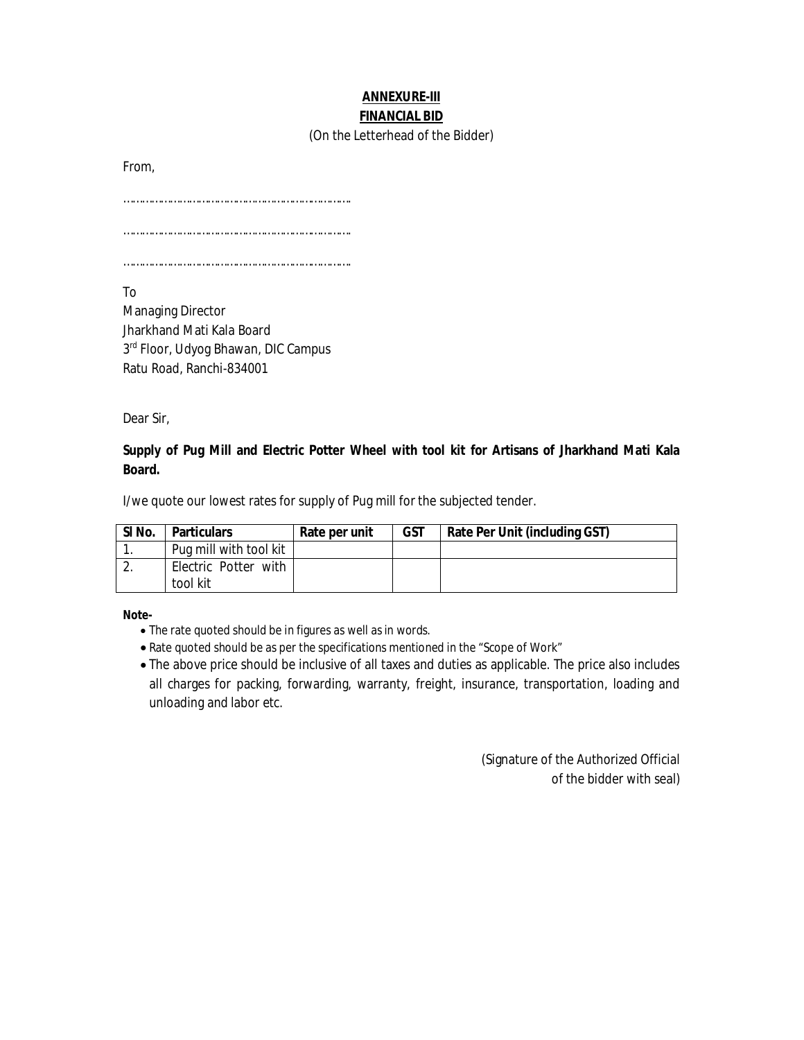# **ANNEXURE-III FINANCIAL BID**

#### (On the Letterhead of the Bidder)

From,

……………………………………………………………….

……………………………………………………………….

……………………………………………………………….

To

Managing Director Jharkhand Mati Kala Board 3<sup>rd</sup> Floor, Udyog Bhawan, DIC Campus Ratu Road, Ranchi-834001

Dear Sir,

# **Supply of Pug Mill and Electric Potter Wheel with tool kit for Artisans of Jharkhand Mati Kala Board.**

I/we quote our lowest rates for supply of Pug mill for the subjected tender.

| SI No. | <b>Particulars</b>     | Rate per unit | GST | Rate Per Unit (including GST) |
|--------|------------------------|---------------|-----|-------------------------------|
|        | Pug mill with tool kit |               |     |                               |
|        | Electric Potter with   |               |     |                               |
|        | tool kit               |               |     |                               |

**Note-**

- The rate quoted should be in figures as well as in words.
- Rate quoted should be as per the specifications mentioned in the "Scope of Work"
- The above price should be inclusive of all taxes and duties as applicable. The price also includes all charges for packing, forwarding, warranty, freight, insurance, transportation, loading and unloading and labor etc.

(Signature of the Authorized Official of the bidder with seal)